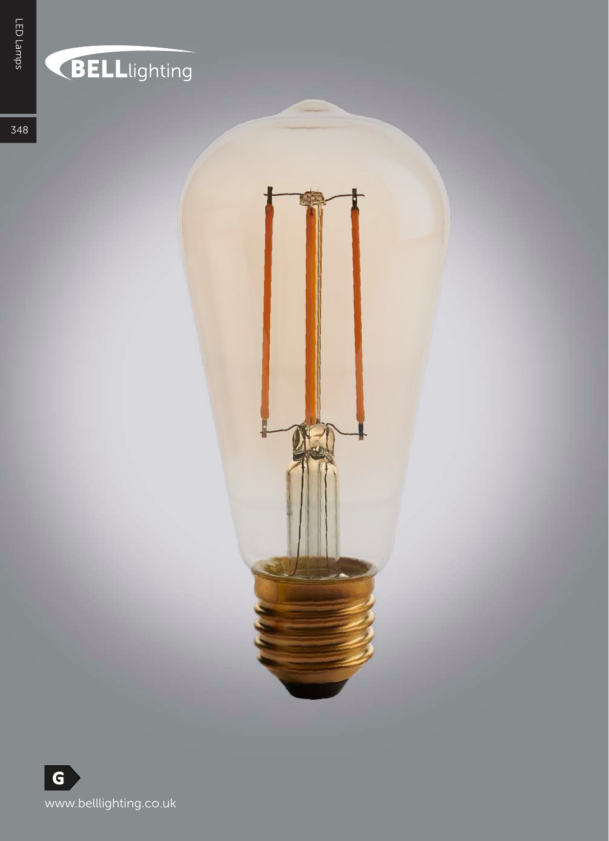## **BELL**lighting

348